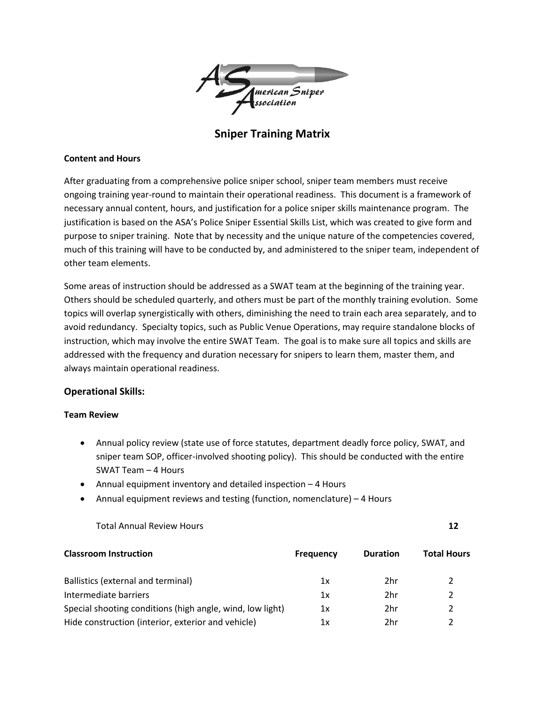

**Sniper Training Matrix**

## **Content and Hours**

After graduating from a comprehensive police sniper school, sniper team members must receive ongoing training year-round to maintain their operational readiness. This document is a framework of necessary annual content, hours, and justification for a police sniper skills maintenance program. The justification is based on the ASA's Police Sniper Essential Skills List, which was created to give form and purpose to sniper training. Note that by necessity and the unique nature of the competencies covered, much of this training will have to be conducted by, and administered to the sniper team, independent of other team elements.

Some areas of instruction should be addressed as a SWAT team at the beginning of the training year. Others should be scheduled quarterly, and others must be part of the monthly training evolution. Some topics will overlap synergistically with others, diminishing the need to train each area separately, and to avoid redundancy. Specialty topics, such as Public Venue Operations, may require standalone blocks of instruction, which may involve the entire SWAT Team. The goal is to make sure all topics and skills are addressed with the frequency and duration necessary for snipers to learn them, master them, and always maintain operational readiness.

# **Operational Skills:**

# **Team Review**

- Annual policy review (state use of force statutes, department deadly force policy, SWAT, and sniper team SOP, officer-involved shooting policy). This should be conducted with the entire SWAT Team – 4 Hours
- Annual equipment inventory and detailed inspection 4 Hours
- Annual equipment reviews and testing (function, nomenclature) 4 Hours

Total Annual Review Hours **12**

| <b>Classroom Instruction</b>                              | <b>Frequency</b> | <b>Duration</b> | <b>Total Hours</b> |
|-----------------------------------------------------------|------------------|-----------------|--------------------|
| Ballistics (external and terminal)                        | 1x               | 2hr             |                    |
| Intermediate barriers                                     | 1x               | 2hr             |                    |
| Special shooting conditions (high angle, wind, low light) | 1x               | 2hr             |                    |
| Hide construction (interior, exterior and vehicle)        | 1х               | 2hr             |                    |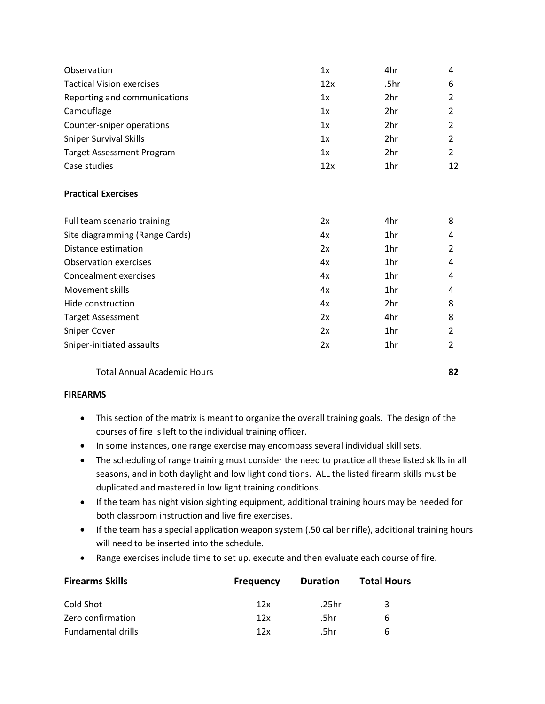| 1x  | 4hr  | 4              |
|-----|------|----------------|
| 12x | .5hr | 6              |
| 1x  | 2hr  | $\overline{2}$ |
| 1x  | 2hr  | 2              |
| 1x  | 2hr  | 2              |
| 1x  | 2hr  | 2              |
| 1x  | 2hr  | $\overline{2}$ |
| 12x | 1hr  | 12             |
|     |      |                |
| 2x  | 4hr  | 8              |
| 4x  | 1hr  | 4              |
| 2x  | 1hr  | $\overline{2}$ |
| 4x  | 1hr  | 4              |
| 4x  | 1hr  | 4              |
| 4x  | 1hr  | 4              |
| 4x  | 2hr  | 8              |
| 2x  | 4hr  | 8              |
| 2x  | 1hr  | 2              |
| 2x  | 1hr  | 2              |
|     |      |                |

Total Annual Academic Hours **82**

# **FIREARMS**

- This section of the matrix is meant to organize the overall training goals. The design of the courses of fire is left to the individual training officer.
- In some instances, one range exercise may encompass several individual skill sets.
- The scheduling of range training must consider the need to practice all these listed skills in all seasons, and in both daylight and low light conditions. ALL the listed firearm skills must be duplicated and mastered in low light training conditions.
- If the team has night vision sighting equipment, additional training hours may be needed for both classroom instruction and live fire exercises.
- If the team has a special application weapon system (.50 caliber rifle), additional training hours will need to be inserted into the schedule.
- Range exercises include time to set up, execute and then evaluate each course of fire.

| <b>Firearms Skills</b>    | <b>Frequency</b> | Duration | <b>Total Hours</b> |
|---------------------------|------------------|----------|--------------------|
| Cold Shot                 | 12x              | .25hr    | ર                  |
| Zero confirmation         | 12x              | .5hr     | <sub>b</sub>       |
| <b>Fundamental drills</b> | 12x              | .5hr     | h                  |